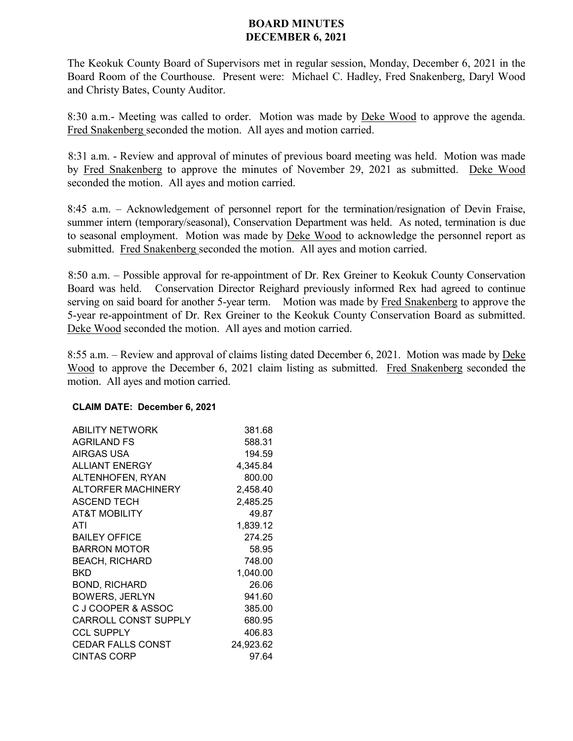## **BOARD MINUTES DECEMBER 6, 2021**

The Keokuk County Board of Supervisors met in regular session, Monday, December 6, 2021 in the Board Room of the Courthouse. Present were: Michael C. Hadley, Fred Snakenberg, Daryl Wood and Christy Bates, County Auditor.

8:30 a.m.- Meeting was called to order. Motion was made by Deke Wood to approve the agenda. Fred Snakenberg seconded the motion. All ayes and motion carried.

8:31 a.m. - Review and approval of minutes of previous board meeting was held. Motion was made by Fred Snakenberg to approve the minutes of November 29, 2021 as submitted. Deke Wood seconded the motion. All ayes and motion carried.

8:45 a.m. – Acknowledgement of personnel report for the termination/resignation of Devin Fraise, summer intern (temporary/seasonal), Conservation Department was held. As noted, termination is due to seasonal employment. Motion was made by Deke Wood to acknowledge the personnel report as submitted. Fred Snakenberg seconded the motion. All ayes and motion carried.

8:50 a.m. – Possible approval for re-appointment of Dr. Rex Greiner to Keokuk County Conservation Board was held. Conservation Director Reighard previously informed Rex had agreed to continue serving on said board for another 5-year term. Motion was made by Fred Snakenberg to approve the 5-year re-appointment of Dr. Rex Greiner to the Keokuk County Conservation Board as submitted. Deke Wood seconded the motion. All ayes and motion carried.

8:55 a.m. – Review and approval of claims listing dated December 6, 2021. Motion was made by Deke Wood to approve the December 6, 2021 claim listing as submitted. Fred Snakenberg seconded the motion. All ayes and motion carried.

## **CLAIM DATE: December 6, 2021**

| <b>ABILITY NETWORK</b>      | 381.68    |
|-----------------------------|-----------|
| <b>AGRILAND FS</b>          | 588.31    |
| AIRGAS USA                  | 194.59    |
| <b>ALLIANT ENERGY</b>       | 4,345.84  |
| ALTENHOFEN, RYAN            | 800.00    |
| <b>ALTORFER MACHINERY</b>   | 2,458.40  |
| <b>ASCEND TECH</b>          | 2,485.25  |
| <b>AT&amp;T MOBILITY</b>    | 49.87     |
| ATI                         | 1,839.12  |
| <b>BAILEY OFFICE</b>        | 274.25    |
| <b>BARRON MOTOR</b>         | 58.95     |
| <b>BEACH. RICHARD</b>       | 748.00    |
| BKD                         | 1,040.00  |
| <b>BOND, RICHARD</b>        | 26.06     |
| <b>BOWERS, JERLYN</b>       | 941.60    |
| C J COOPER & ASSOC          | 385.00    |
| <b>CARROLL CONST SUPPLY</b> | 680.95    |
| <b>CCL SUPPLY</b>           | 406.83    |
| <b>CEDAR FALLS CONST</b>    | 24,923.62 |
| <b>CINTAS CORP</b>          | 97.64     |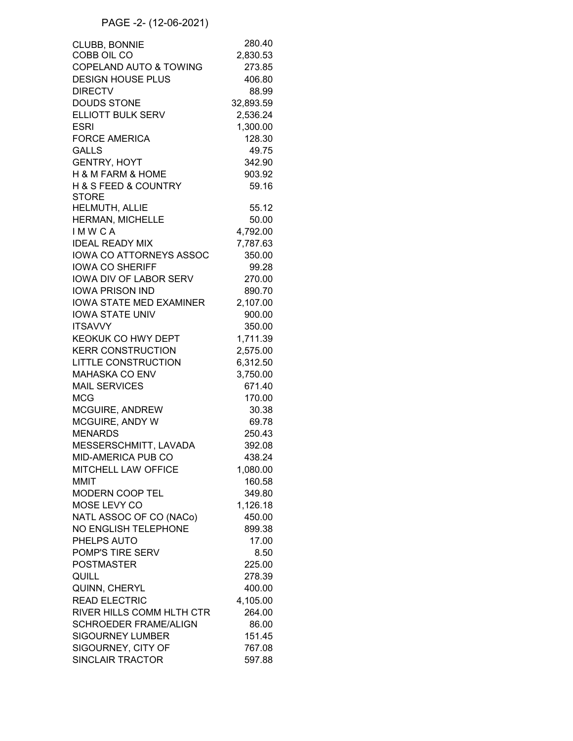## PAGE -2- (12-06-2021)

| <b>CLUBB, BONNIE</b>                | 280.40    |
|-------------------------------------|-----------|
| COBB OIL CO                         | 2,830.53  |
| COPELAND AUTO & TOWING              | 273.85    |
| <b>DESIGN HOUSE PLUS</b>            | 406.80    |
| <b>DIRECTV</b>                      | 88.99     |
| <b>DOUDS STONE</b>                  | 32,893.59 |
| ELLIOTT BULK SERV                   | 2,536.24  |
| <b>ESRI</b>                         | 1,300.00  |
| <b>FORCE AMERICA</b>                | 128.30    |
| <b>GALLS</b>                        | 49.75     |
| <b>GENTRY, HOYT</b>                 | 342.90    |
| <b>H &amp; M FARM &amp; HOME</b>    | 903.92    |
|                                     |           |
| <b>H &amp; S FEED &amp; COUNTRY</b> | 59.16     |
| <b>STORE</b><br>HELMUTH, ALLIE      | 55.12     |
|                                     |           |
| HERMAN, MICHELLE                    | 50.00     |
| <b>IMWCA</b>                        | 4,792.00  |
| <b>IDEAL READY MIX</b>              | 7,787.63  |
| <b>IOWA CO ATTORNEYS ASSOC</b>      | 350.00    |
| <b>IOWA CO SHERIFF</b>              | 99.28     |
| <b>IOWA DIV OF LABOR SERV</b>       | 270.00    |
| <b>IOWA PRISON IND</b>              | 890.70    |
| <b>IOWA STATE MED EXAMINER</b>      | 2,107.00  |
| <b>IOWA STATE UNIV</b>              | 900.00    |
| <b>ITSAVVY</b>                      | 350.00    |
| KEOKUK CO HWY DEPT                  | 1,711.39  |
| <b>KERR CONSTRUCTION</b>            | 2,575.00  |
| <b>LITTLE CONSTRUCTION</b>          | 6,312.50  |
| <b>MAHASKA CO ENV</b>               | 3,750.00  |
| <b>MAIL SERVICES</b>                | 671.40    |
| <b>MCG</b>                          | 170.00    |
|                                     |           |
| MCGUIRE, ANDREW                     | 30.38     |
| MCGUIRE, ANDY W                     | 69.78     |
| <b>MENARDS</b>                      | 250.43    |
| MESSERSCHMITT, LAVADA               | 392.08    |
| MID-AMERICA PUB CO                  | 438.24    |
| MITCHELL LAW OFFICE                 | 1,080.00  |
| <b>MMIT</b>                         | 160.58    |
| MODERN COOP TEL                     | 349.80    |
| MOSE LEVY CO                        | 1,126.18  |
| NATL ASSOC OF CO (NACo)             | 450.00    |
| NO ENGLISH TELEPHONE                | 899.38    |
| PHELPS AUTO                         | 17.00     |
| POMP'S TIRE SERV                    | 8.50      |
| <b>POSTMASTER</b>                   | 225.00    |
| QUILL                               | 278.39    |
| QUINN, CHERYL                       | 400.00    |
| <b>READ ELECTRIC</b>                | 4,105.00  |
|                                     |           |
| RIVER HILLS COMM HLTH CTR           | 264.00    |
| <b>SCHROEDER FRAME/ALIGN</b>        | 86.00     |
| <b>SIGOURNEY LUMBER</b>             | 151.45    |
| SIGOURNEY, CITY OF                  | 767.08    |
| <b>SINCLAIR TRACTOR</b>             | 597.88    |